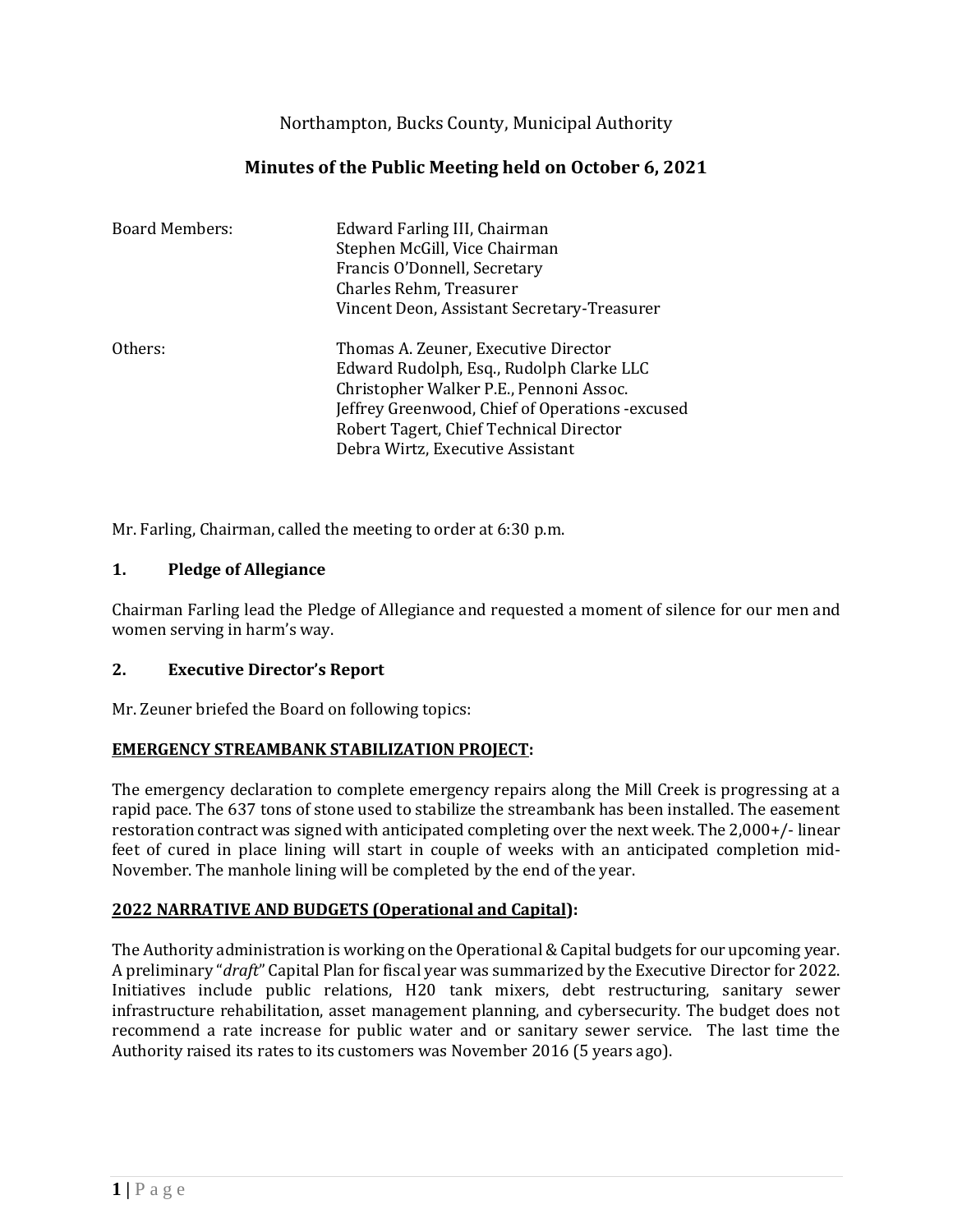Northampton, Bucks County, Municipal Authority

# **Minutes of the Public Meeting held on October 6, 2021**

| <b>Board Members:</b> | Edward Farling III, Chairman<br>Stephen McGill, Vice Chairman<br>Francis O'Donnell, Secretary<br>Charles Rehm, Treasurer<br>Vincent Deon, Assistant Secretary-Treasurer                                                                                        |
|-----------------------|----------------------------------------------------------------------------------------------------------------------------------------------------------------------------------------------------------------------------------------------------------------|
| Others:               | Thomas A. Zeuner, Executive Director<br>Edward Rudolph, Esq., Rudolph Clarke LLC<br>Christopher Walker P.E., Pennoni Assoc.<br>Jeffrey Greenwood, Chief of Operations - excused<br>Robert Tagert, Chief Technical Director<br>Debra Wirtz, Executive Assistant |

Mr. Farling, Chairman, called the meeting to order at 6:30 p.m.

## **1. Pledge of Allegiance**

Chairman Farling lead the Pledge of Allegiance and requested a moment of silence for our men and women serving in harm's way.

## **2. Executive Director's Report**

Mr. Zeuner briefed the Board on following topics:

## **EMERGENCY STREAMBANK STABILIZATION PROJECT:**

The emergency declaration to complete emergency repairs along the Mill Creek is progressing at a rapid pace. The 637 tons of stone used to stabilize the streambank has been installed. The easement restoration contract was signed with anticipated completing over the next week. The 2,000+/- linear feet of cured in place lining will start in couple of weeks with an anticipated completion mid-November. The manhole lining will be completed by the end of the year.

## **2022 NARRATIVE AND BUDGETS (Operational and Capital):**

The Authority administration is working on the Operational & Capital budgets for our upcoming year. A preliminary "*draft*" Capital Plan for fiscal year was summarized by the Executive Director for 2022. Initiatives include public relations, H20 tank mixers, debt restructuring, sanitary sewer infrastructure rehabilitation, asset management planning, and cybersecurity. The budget does not recommend a rate increase for public water and or sanitary sewer service. The last time the Authority raised its rates to its customers was November 2016 (5 years ago).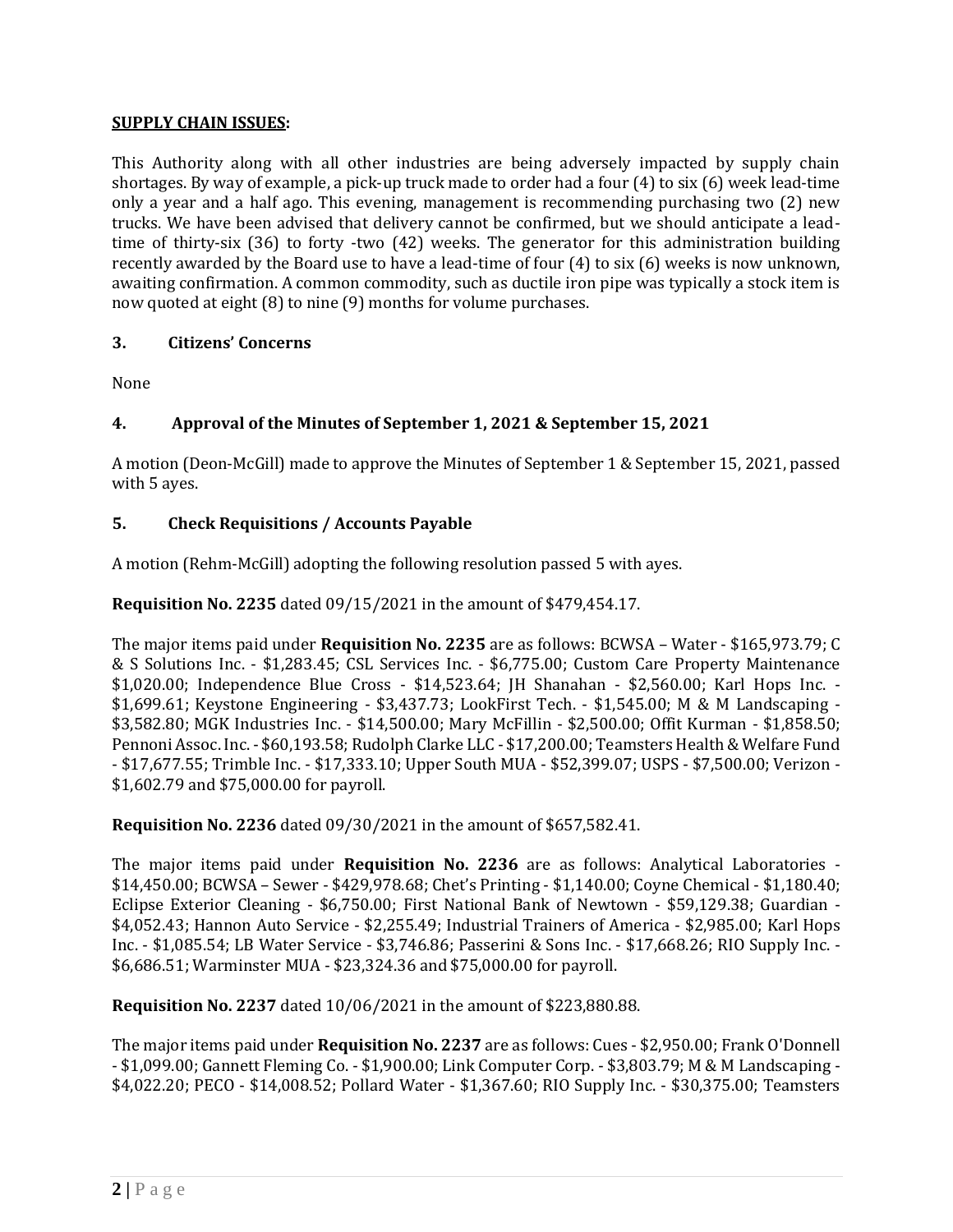### **SUPPLY CHAIN ISSUES:**

This Authority along with all other industries are being adversely impacted by supply chain shortages. By way of example, a pick-up truck made to order had a four (4) to six (6) week lead-time only a year and a half ago. This evening, management is recommending purchasing two (2) new trucks. We have been advised that delivery cannot be confirmed, but we should anticipate a leadtime of thirty-six (36) to forty -two (42) weeks. The generator for this administration building recently awarded by the Board use to have a lead-time of four (4) to six (6) weeks is now unknown, awaiting confirmation. A common commodity, such as ductile iron pipe was typically a stock item is now quoted at eight (8) to nine (9) months for volume purchases.

### **3. Citizens' Concerns**

None

## **4. Approval of the Minutes of September 1, 2021 & September 15, 2021**

A motion (Deon-McGill) made to approve the Minutes of September 1 & September 15, 2021, passed with 5 ayes.

### **5. Check Requisitions / Accounts Payable**

A motion (Rehm-McGill) adopting the following resolution passed 5 with ayes.

**Requisition No. 2235** dated 09/15/2021 in the amount of \$479,454.17.

The major items paid under **Requisition No. 2235** are as follows: BCWSA – Water - \$165,973.79; C & S Solutions Inc. - \$1,283.45; CSL Services Inc. - \$6,775.00; Custom Care Property Maintenance \$1,020.00; Independence Blue Cross - \$14,523.64; JH Shanahan - \$2,560.00; Karl Hops Inc. - \$1,699.61; Keystone Engineering - \$3,437.73; LookFirst Tech. - \$1,545.00; M & M Landscaping - \$3,582.80; MGK Industries Inc. - \$14,500.00; Mary McFillin - \$2,500.00; Offit Kurman - \$1,858.50; Pennoni Assoc. Inc. - \$60,193.58; Rudolph Clarke LLC - \$17,200.00; Teamsters Health & Welfare Fund - \$17,677.55; Trimble Inc. - \$17,333.10; Upper South MUA - \$52,399.07; USPS - \$7,500.00; Verizon - \$1,602.79 and \$75,000.00 for payroll.

**Requisition No. 2236** dated 09/30/2021 in the amount of \$657,582.41.

The major items paid under **Requisition No. 2236** are as follows: Analytical Laboratories - \$14,450.00; BCWSA – Sewer - \$429,978.68; Chet's Printing - \$1,140.00; Coyne Chemical - \$1,180.40; Eclipse Exterior Cleaning - \$6,750.00; First National Bank of Newtown - \$59,129.38; Guardian - \$4,052.43; Hannon Auto Service - \$2,255.49; Industrial Trainers of America - \$2,985.00; Karl Hops Inc. - \$1,085.54; LB Water Service - \$3,746.86; Passerini & Sons Inc. - \$17,668.26; RIO Supply Inc. - \$6,686.51; Warminster MUA - \$23,324.36 and \$75,000.00 for payroll.

**Requisition No. 2237** dated 10/06/2021 in the amount of \$223,880.88.

The major items paid under **Requisition No. 2237** are as follows: Cues - \$2,950.00; Frank O'Donnell - \$1,099.00; Gannett Fleming Co. - \$1,900.00; Link Computer Corp. - \$3,803.79; M & M Landscaping - \$4,022.20; PECO - \$14,008.52; Pollard Water - \$1,367.60; RIO Supply Inc. - \$30,375.00; Teamsters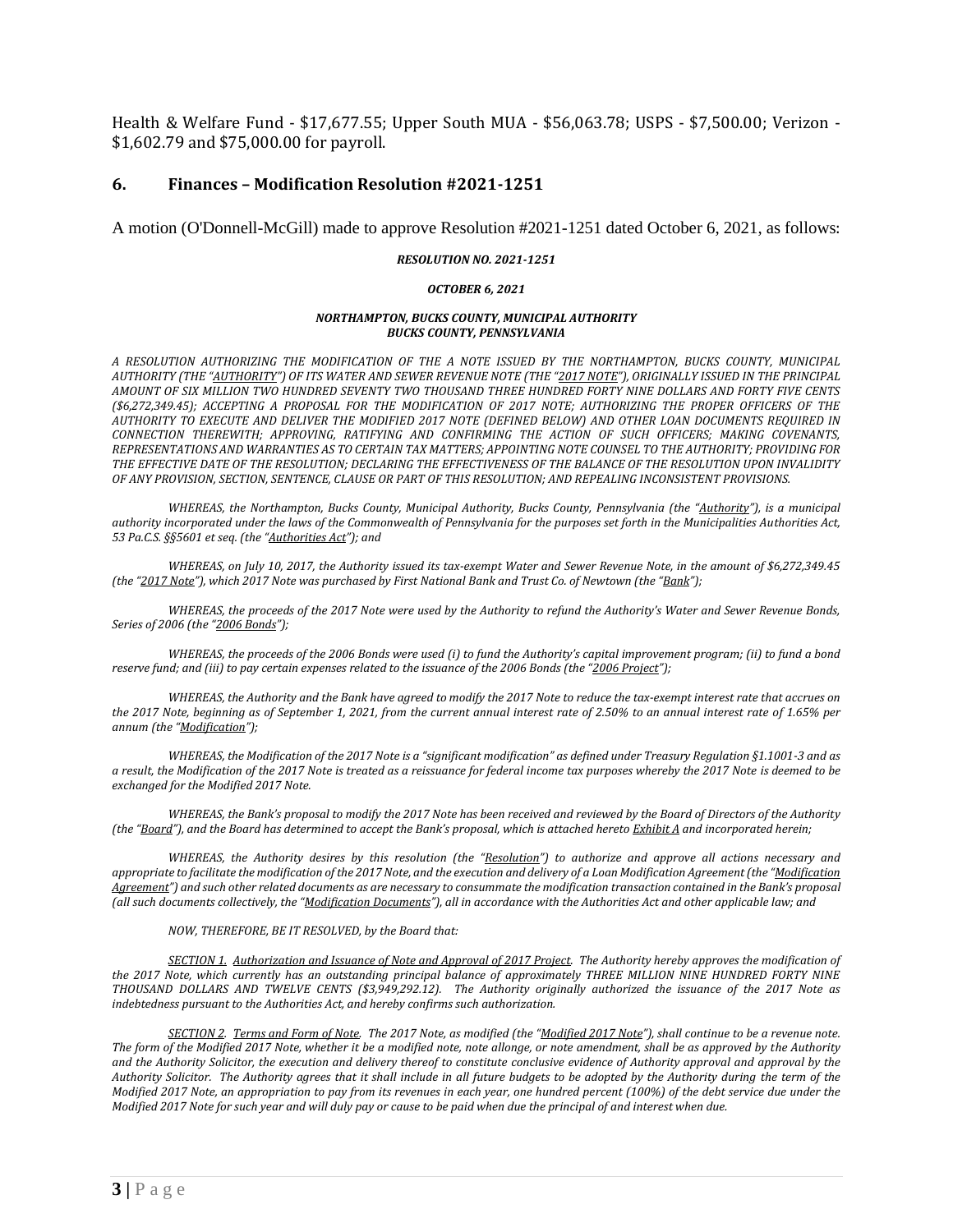Health & Welfare Fund - \$17,677.55; Upper South MUA - \$56,063.78; USPS - \$7,500.00; Verizon - \$1,602.79 and \$75,000.00 for payroll.

### **6. Finances – Modification Resolution #2021-1251**

A motion (O'Donnell-McGill) made to approve Resolution #2021-1251 dated October 6, 2021, as follows:

#### *RESOLUTION NO. 2021-1251*

#### *OCTOBER 6, 2021*

#### *NORTHAMPTON, BUCKS COUNTY, MUNICIPAL AUTHORITY BUCKS COUNTY, PENNSYLVANIA*

*A RESOLUTION AUTHORIZING THE MODIFICATION OF THE A NOTE ISSUED BY THE NORTHAMPTON, BUCKS COUNTY, MUNICIPAL AUTHORITY (THE "AUTHORITY") OF ITS WATER AND SEWER REVENUE NOTE (THE "2017 NOTE"), ORIGINALLY ISSUED IN THE PRINCIPAL AMOUNT OF SIX MILLION TWO HUNDRED SEVENTY TWO THOUSAND THREE HUNDRED FORTY NINE DOLLARS AND FORTY FIVE CENTS (\$6,272,349.45); ACCEPTING A PROPOSAL FOR THE MODIFICATION OF 2017 NOTE; AUTHORIZING THE PROPER OFFICERS OF THE AUTHORITY TO EXECUTE AND DELIVER THE MODIFIED 2017 NOTE (DEFINED BELOW) AND OTHER LOAN DOCUMENTS REQUIRED IN CONNECTION THEREWITH; APPROVING, RATIFYING AND CONFIRMING THE ACTION OF SUCH OFFICERS; MAKING COVENANTS, REPRESENTATIONS AND WARRANTIES AS TO CERTAIN TAX MATTERS; APPOINTING NOTE COUNSEL TO THE AUTHORITY; PROVIDING FOR THE EFFECTIVE DATE OF THE RESOLUTION; DECLARING THE EFFECTIVENESS OF THE BALANCE OF THE RESOLUTION UPON INVALIDITY OF ANY PROVISION, SECTION, SENTENCE, CLAUSE OR PART OF THIS RESOLUTION; AND REPEALING INCONSISTENT PROVISIONS.*

*WHEREAS, the Northampton, Bucks County, Municipal Authority, Bucks County, Pennsylvania (the "Authority"), is a municipal authority incorporated under the laws of the Commonwealth of Pennsylvania for the purposes set forth in the Municipalities Authorities Act, 53 Pa.C.S. §§5601 et seq. (the "Authorities Act"); and*

*WHEREAS, on July 10, 2017, the Authority issued its tax-exempt Water and Sewer Revenue Note, in the amount of \$6,272,349.45 (the "2017 Note"), which 2017 Note was purchased by First National Bank and Trust Co. of Newtown (the "Bank");*

*WHEREAS, the proceeds of the 2017 Note were used by the Authority to refund the Authority's Water and Sewer Revenue Bonds, Series of 2006 (the "2006 Bonds");* 

*WHEREAS, the proceeds of the 2006 Bonds were used (i) to fund the Authority's capital improvement program; (ii) to fund a bond reserve fund; and (iii) to pay certain expenses related to the issuance of the 2006 Bonds (the "2006 Project");*

*WHEREAS, the Authority and the Bank have agreed to modify the 2017 Note to reduce the tax-exempt interest rate that accrues on the 2017 Note, beginning as of September 1, 2021, from the current annual interest rate of 2.50% to an annual interest rate of 1.65% per annum (the "Modification");*

*WHEREAS, the Modification of the 2017 Note is a "significant modification" as defined under Treasury Regulation §1.1001-3 and as a result, the Modification of the 2017 Note is treated as a reissuance for federal income tax purposes whereby the 2017 Note is deemed to be exchanged for the Modified 2017 Note.* 

*WHEREAS, the Bank's proposal to modify the 2017 Note has been received and reviewed by the Board of Directors of the Authority (the "Board"), and the Board has determined to accept the Bank's proposal, which is attached hereto Exhibit A and incorporated herein;* 

*WHEREAS, the Authority desires by this resolution (the "Resolution") to authorize and approve all actions necessary and appropriate to facilitate the modification of the 2017 Note, and the execution and delivery of a Loan Modification Agreement (the "Modification Agreement") and such other related documents as are necessary to consummate the modification transaction contained in the Bank's proposal (all such documents collectively, the "Modification Documents"), all in accordance with the Authorities Act and other applicable law; and*

#### *NOW, THEREFORE, BE IT RESOLVED, by the Board that:*

*SECTION 1. Authorization and Issuance of Note and Approval of 2017 Project. The Authority hereby approves the modification of the 2017 Note, which currently has an outstanding principal balance of approximately THREE MILLION NINE HUNDRED FORTY NINE THOUSAND DOLLARS AND TWELVE CENTS (\$3,949,292.12). The Authority originally authorized the issuance of the 2017 Note as indebtedness pursuant to the Authorities Act, and hereby confirms such authorization.*

*SECTION 2. Terms and Form of Note. The 2017 Note, as modified (the "Modified 2017 Note"), shall continue to be a revenue note. The form of the Modified 2017 Note, whether it be a modified note, note allonge, or note amendment, shall be as approved by the Authority and the Authority Solicitor, the execution and delivery thereof to constitute conclusive evidence of Authority approval and approval by the Authority Solicitor. The Authority agrees that it shall include in all future budgets to be adopted by the Authority during the term of the Modified 2017 Note, an appropriation to pay from its revenues in each year, one hundred percent (100%) of the debt service due under the Modified 2017 Note for such year and will duly pay or cause to be paid when due the principal of and interest when due.*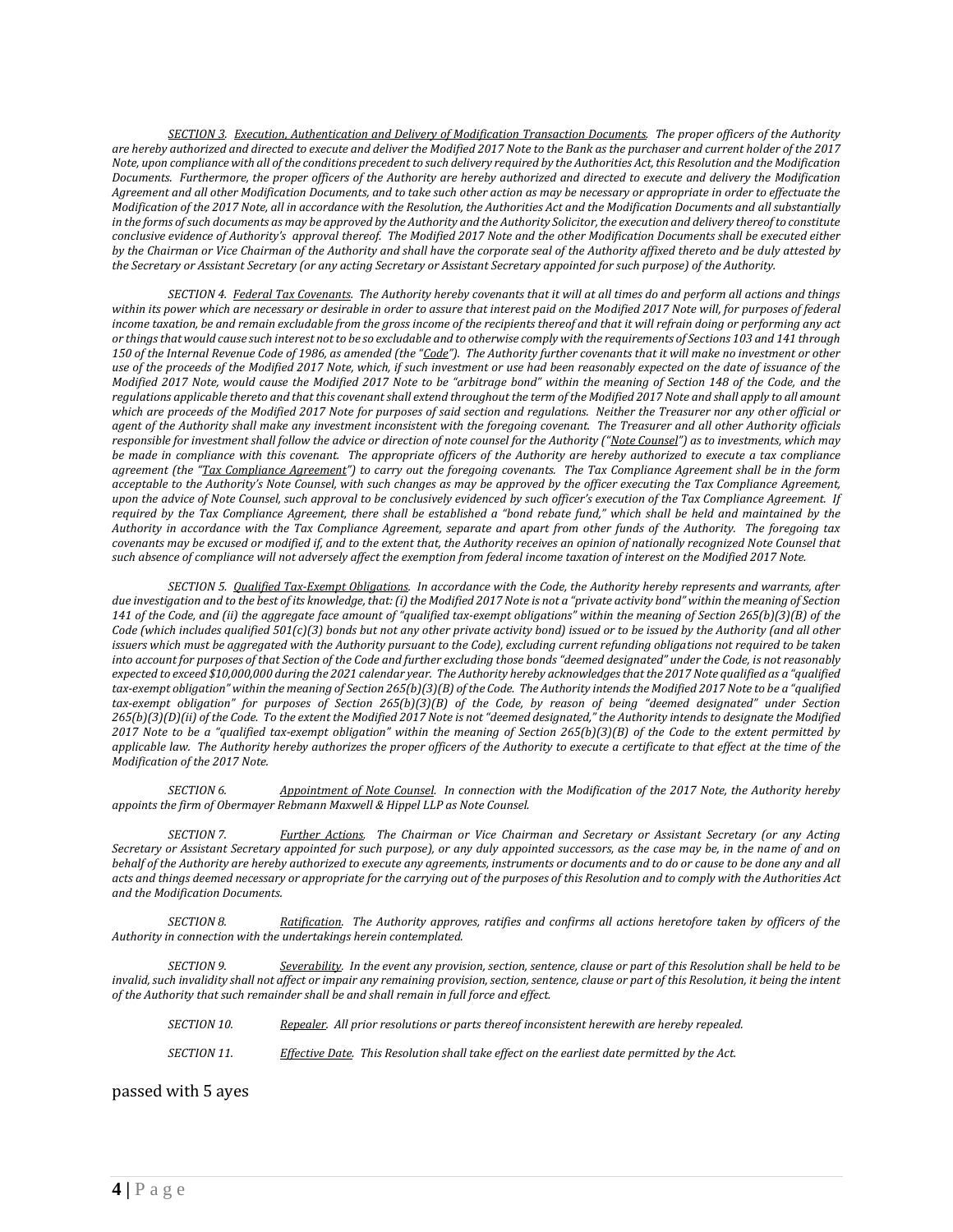*SECTION 3. Execution, Authentication and Delivery of Modification Transaction Documents. The proper officers of the Authority are hereby authorized and directed to execute and deliver the Modified 2017 Note to the Bank as the purchaser and current holder of the 2017 Note, upon compliance with all of the conditions precedent to such delivery required by the Authorities Act, this Resolution and the Modification Documents. Furthermore, the proper officers of the Authority are hereby authorized and directed to execute and delivery the Modification Agreement and all other Modification Documents, and to take such other action as may be necessary or appropriate in order to effectuate the Modification of the 2017 Note, all in accordance with the Resolution, the Authorities Act and the Modification Documents and all substantially in the forms of such documents as may be approved by the Authority and the Authority Solicitor, the execution and delivery thereof to constitute conclusive evidence of Authority's approval thereof. The Modified 2017 Note and the other Modification Documents shall be executed either by the Chairman or Vice Chairman of the Authority and shall have the corporate seal of the Authority affixed thereto and be duly attested by the Secretary or Assistant Secretary (or any acting Secretary or Assistant Secretary appointed for such purpose) of the Authority.*

*SECTION 4. Federal Tax Covenants. The Authority hereby covenants that it will at all times do and perform all actions and things within its power which are necessary or desirable in order to assure that interest paid on the Modified 2017 Note will, for purposes of federal income taxation, be and remain excludable from the gross income of the recipients thereof and that it will refrain doing or performing any act or things that would cause such interest not to be so excludable and to otherwise comply with the requirements of Sections 103 and 141 through 150 of the Internal Revenue Code of 1986, as amended (the "Code"). The Authority further covenants that it will make no investment or other use of the proceeds of the Modified 2017 Note, which, if such investment or use had been reasonably expected on the date of issuance of the Modified 2017 Note, would cause the Modified 2017 Note to be "arbitrage bond" within the meaning of Section 148 of the Code, and the regulations applicable thereto and that this covenant shall extend throughout the term of the Modified 2017 Note and shall apply to all amount which are proceeds of the Modified 2017 Note for purposes of said section and regulations. Neither the Treasurer nor any other official or agent of the Authority shall make any investment inconsistent with the foregoing covenant. The Treasurer and all other Authority officials responsible for investment shall follow the advice or direction of note counsel for the Authority ("Note Counsel") as to investments, which may be made in compliance with this covenant. The appropriate officers of the Authority are hereby authorized to execute a tax compliance agreement (the "Tax Compliance Agreement") to carry out the foregoing covenants. The Tax Compliance Agreement shall be in the form acceptable to the Authority's Note Counsel, with such changes as may be approved by the officer executing the Tax Compliance Agreement, upon the advice of Note Counsel, such approval to be conclusively evidenced by such officer's execution of the Tax Compliance Agreement. If required by the Tax Compliance Agreement, there shall be established a "bond rebate fund," which shall be held and maintained by the Authority in accordance with the Tax Compliance Agreement, separate and apart from other funds of the Authority. The foregoing tax covenants may be excused or modified if, and to the extent that, the Authority receives an opinion of nationally recognized Note Counsel that such absence of compliance will not adversely affect the exemption from federal income taxation of interest on the Modified 2017 Note.* 

*SECTION 5. Qualified Tax-Exempt Obligations. In accordance with the Code, the Authority hereby represents and warrants, after due investigation and to the best of its knowledge, that: (i) the Modified 2017 Note is not a "private activity bond" within the meaning of Section 141 of the Code, and (ii) the aggregate face amount of "qualified tax-exempt obligations" within the meaning of Section 265(b)(3)(B) of the Code (which includes qualified 501(c)(3) bonds but not any other private activity bond) issued or to be issued by the Authority (and all other*  issuers which must be aggregated with the Authority pursuant to the Code), excluding current refunding obligations not required to be taken *into account for purposes of that Section of the Code and further excluding those bonds "deemed designated" under the Code, is not reasonably expected to exceed \$10,000,000 during the 2021 calendar year. The Authority hereby acknowledges that the 2017 Note qualified as a "qualified*  tax-exempt obligation" within the meaning of Section 265(b)(3)(B) of the Code. The Authority intends the Modified 2017 Note to be a "qualified *tax-exempt obligation" for purposes of Section 265(b)(3)(B) of the Code, by reason of being "deemed designated" under Section 265(b)(3)(D)(ii) of the Code. To the extent the Modified 2017 Note is not "deemed designated," the Authority intends to designate the Modified 2017 Note to be a "qualified tax-exempt obligation" within the meaning of Section 265(b)(3)(B) of the Code to the extent permitted by applicable law. The Authority hereby authorizes the proper officers of the Authority to execute a certificate to that effect at the time of the Modification of the 2017 Note.* 

*SECTION 6. Appointment of Note Counsel. In connection with the Modification of the 2017 Note, the Authority hereby appoints the firm of Obermayer Rebmann Maxwell & Hippel LLP as Note Counsel.*

*SECTION 7. Further Actions. The Chairman or Vice Chairman and Secretary or Assistant Secretary (or any Acting Secretary or Assistant Secretary appointed for such purpose), or any duly appointed successors, as the case may be, in the name of and on behalf of the Authority are hereby authorized to execute any agreements, instruments or documents and to do or cause to be done any and all acts and things deemed necessary or appropriate for the carrying out of the purposes of this Resolution and to comply with the Authorities Act and the Modification Documents.*

*SECTION 8. Ratification. The Authority approves, ratifies and confirms all actions heretofore taken by officers of the Authority in connection with the undertakings herein contemplated.*

*SECTION 9. Severability. In the event any provision, section, sentence, clause or part of this Resolution shall be held to be invalid, such invalidity shall not affect or impair any remaining provision, section, sentence, clause or part of this Resolution, it being the intent of the Authority that such remainder shall be and shall remain in full force and effect.*

| SECTION 10. | Repealer. All prior resolutions or parts thereof inconsistent herewith are hereby repealed.  |
|-------------|----------------------------------------------------------------------------------------------|
| SECTION 11. | Effective Date. This Resolution shall take effect on the earliest date permitted by the Act. |

passed with 5 ayes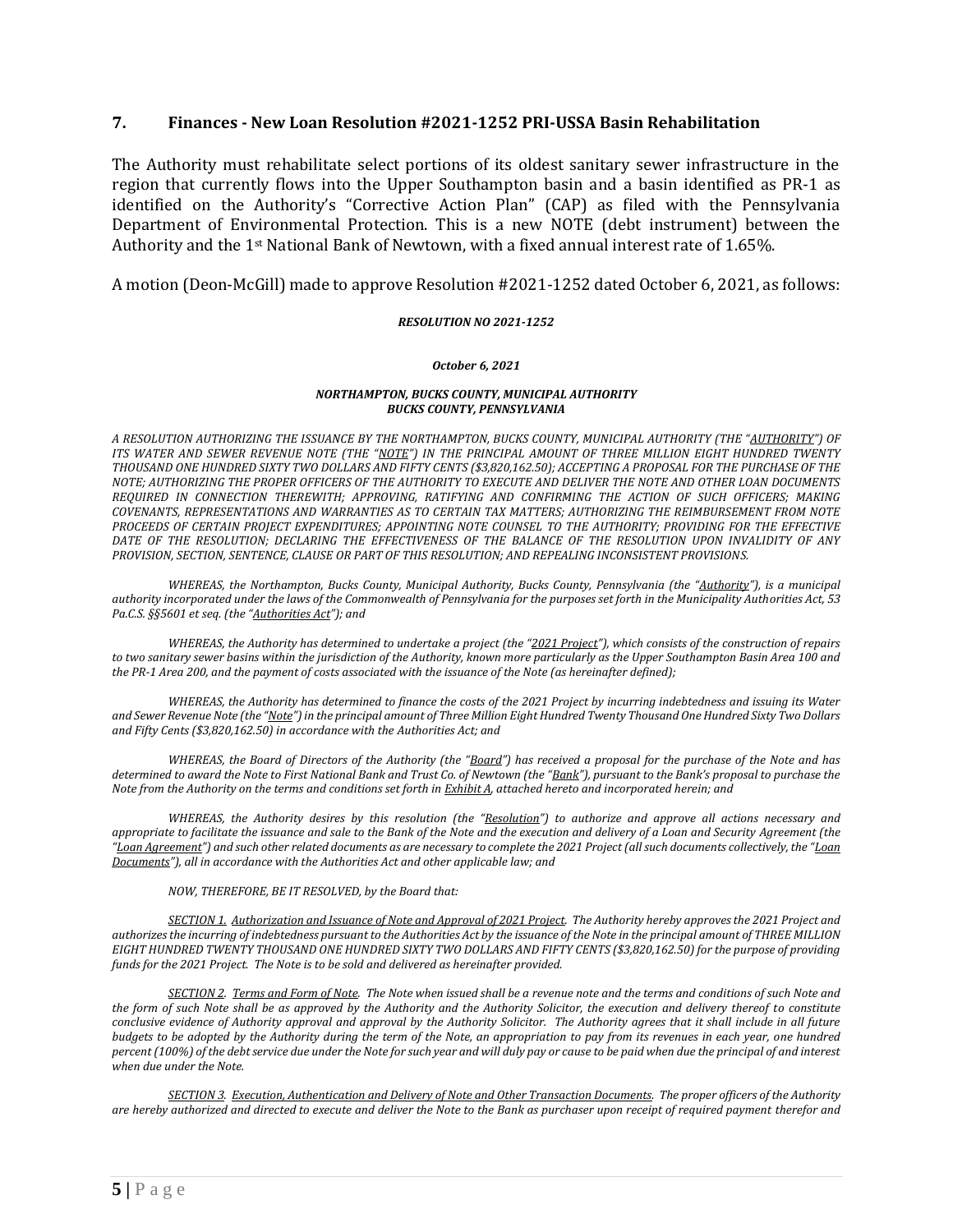### **7. Finances - New Loan Resolution #2021-1252 PRI-USSA Basin Rehabilitation**

The Authority must rehabilitate select portions of its oldest sanitary sewer infrastructure in the region that currently flows into the Upper Southampton basin and a basin identified as PR-1 as identified on the Authority's "Corrective Action Plan" (CAP) as filed with the Pennsylvania Department of Environmental Protection. This is a new NOTE (debt instrument) between the Authority and the 1st National Bank of Newtown, with a fixed annual interest rate of 1.65%.

A motion (Deon-McGill) made to approve Resolution #2021-1252 dated October 6, 2021, as follows:

### *RESOLUTION NO 2021-1252*

#### *October 6, 2021*

#### *NORTHAMPTON, BUCKS COUNTY, MUNICIPAL AUTHORITY BUCKS COUNTY, PENNSYLVANIA*

*A RESOLUTION AUTHORIZING THE ISSUANCE BY THE NORTHAMPTON, BUCKS COUNTY, MUNICIPAL AUTHORITY (THE "AUTHORITY") OF ITS WATER AND SEWER REVENUE NOTE (THE "NOTE") IN THE PRINCIPAL AMOUNT OF THREE MILLION EIGHT HUNDRED TWENTY THOUSAND ONE HUNDRED SIXTY TWO DOLLARS AND FIFTY CENTS (\$3,820,162.50); ACCEPTING A PROPOSAL FOR THE PURCHASE OF THE NOTE; AUTHORIZING THE PROPER OFFICERS OF THE AUTHORITY TO EXECUTE AND DELIVER THE NOTE AND OTHER LOAN DOCUMENTS REQUIRED IN CONNECTION THEREWITH; APPROVING, RATIFYING AND CONFIRMING THE ACTION OF SUCH OFFICERS; MAKING COVENANTS, REPRESENTATIONS AND WARRANTIES AS TO CERTAIN TAX MATTERS; AUTHORIZING THE REIMBURSEMENT FROM NOTE PROCEEDS OF CERTAIN PROJECT EXPENDITURES; APPOINTING NOTE COUNSEL TO THE AUTHORITY; PROVIDING FOR THE EFFECTIVE DATE OF THE RESOLUTION; DECLARING THE EFFECTIVENESS OF THE BALANCE OF THE RESOLUTION UPON INVALIDITY OF ANY PROVISION, SECTION, SENTENCE, CLAUSE OR PART OF THIS RESOLUTION; AND REPEALING INCONSISTENT PROVISIONS.*

*WHEREAS, the Northampton, Bucks County, Municipal Authority, Bucks County, Pennsylvania (the "Authority"), is a municipal authority incorporated under the laws of the Commonwealth of Pennsylvania for the purposes set forth in the Municipality Authorities Act, 53 Pa.C.S. §§5601 et seq. (the "Authorities Act"); and*

*WHEREAS, the Authority has determined to undertake a project (the "2021 Project"), which consists of the construction of repairs to two sanitary sewer basins within the jurisdiction of the Authority, known more particularly as the Upper Southampton Basin Area 100 and the PR-1 Area 200, and the payment of costs associated with the issuance of the Note (as hereinafter defined);* 

*WHEREAS, the Authority has determined to finance the costs of the 2021 Project by incurring indebtedness and issuing its Water and Sewer Revenue Note (the "Note") in the principal amount of Three Million Eight Hundred Twenty Thousand One Hundred Sixty Two Dollars and Fifty Cents (\$3,820,162.50) in accordance with the Authorities Act; and*

*WHEREAS, the Board of Directors of the Authority (the "Board") has received a proposal for the purchase of the Note and has determined to award the Note to First National Bank and Trust Co. of Newtown (the "Bank"), pursuant to the Bank's proposal to purchase the Note from the Authority on the terms and conditions set forth in Exhibit A, attached hereto and incorporated herein; and*

*WHEREAS, the Authority desires by this resolution (the "Resolution") to authorize and approve all actions necessary and appropriate to facilitate the issuance and sale to the Bank of the Note and the execution and delivery of a Loan and Security Agreement (the "Loan Agreement") and such other related documents as are necessary to complete the 2021 Project (all such documents collectively, the "Loan Documents"), all in accordance with the Authorities Act and other applicable law; and*

#### *NOW, THEREFORE, BE IT RESOLVED, by the Board that:*

*SECTION 1. Authorization and Issuance of Note and Approval of 2021 Project. The Authority hereby approves the 2021 Project and authorizes the incurring of indebtedness pursuant to the Authorities Act by the issuance of the Note in the principal amount of THREE MILLION EIGHT HUNDRED TWENTY THOUSAND ONE HUNDRED SIXTY TWO DOLLARS AND FIFTY CENTS (\$3,820,162.50) for the purpose of providing funds for the 2021 Project. The Note is to be sold and delivered as hereinafter provided.*

*SECTION 2. Terms and Form of Note. The Note when issued shall be a revenue note and the terms and conditions of such Note and the form of such Note shall be as approved by the Authority and the Authority Solicitor, the execution and delivery thereof to constitute conclusive evidence of Authority approval and approval by the Authority Solicitor. The Authority agrees that it shall include in all future budgets to be adopted by the Authority during the term of the Note, an appropriation to pay from its revenues in each year, one hundred percent (100%) of the debt service due under the Note for such year and will duly pay or cause to be paid when due the principal of and interest when due under the Note.*

*SECTION 3. Execution, Authentication and Delivery of Note and Other Transaction Documents. The proper officers of the Authority are hereby authorized and directed to execute and deliver the Note to the Bank as purchaser upon receipt of required payment therefor and*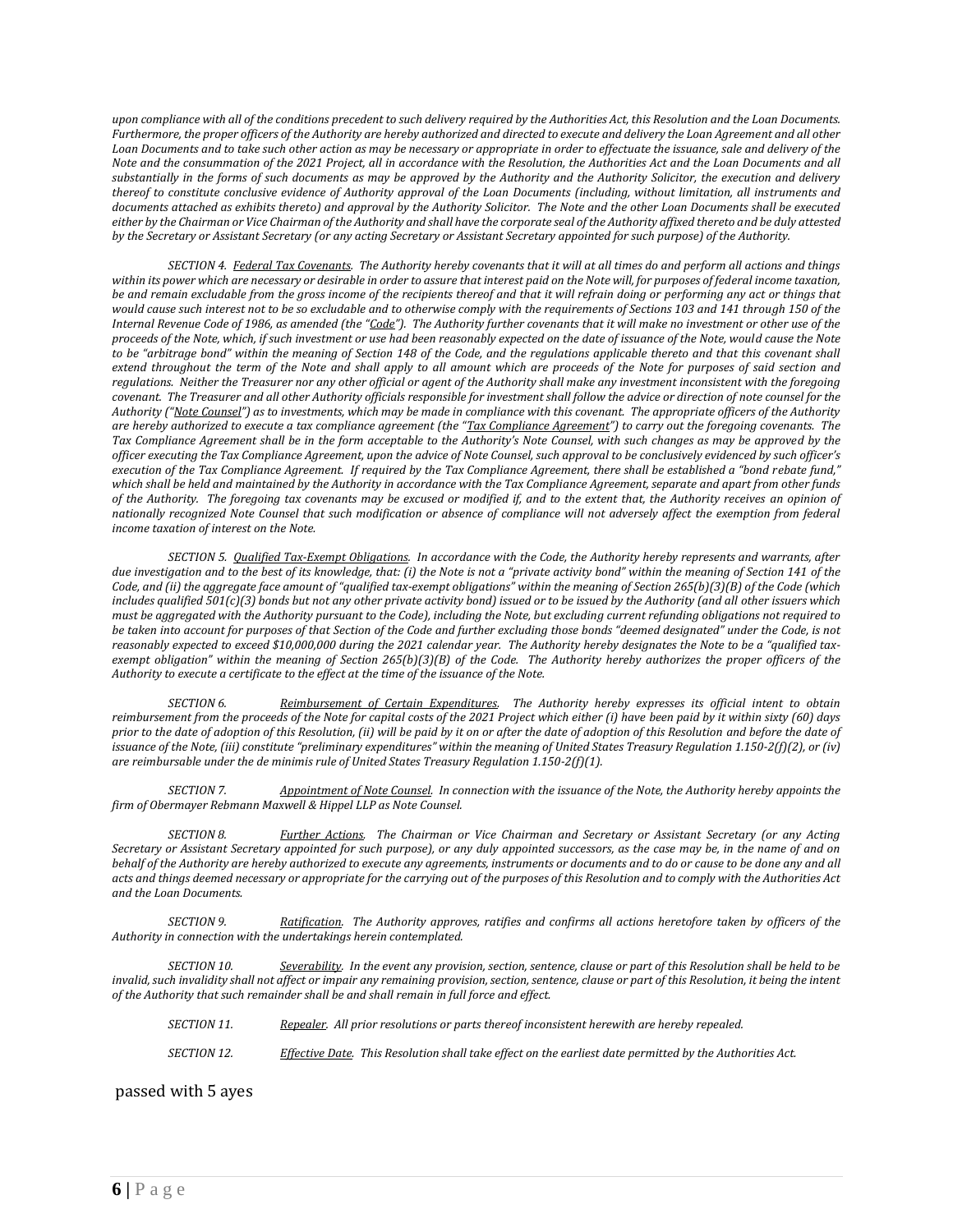*upon compliance with all of the conditions precedent to such delivery required by the Authorities Act, this Resolution and the Loan Documents. Furthermore, the proper officers of the Authority are hereby authorized and directed to execute and delivery the Loan Agreement and all other*  Loan Documents and to take such other action as may be necessary or appropriate in order to effectuate the issuance, sale and delivery of the *Note and the consummation of the 2021 Project, all in accordance with the Resolution, the Authorities Act and the Loan Documents and all substantially in the forms of such documents as may be approved by the Authority and the Authority Solicitor, the execution and delivery thereof to constitute conclusive evidence of Authority approval of the Loan Documents (including, without limitation, all instruments and documents attached as exhibits thereto) and approval by the Authority Solicitor. The Note and the other Loan Documents shall be executed either by the Chairman or Vice Chairman of the Authority and shall have the corporate seal of the Authority affixed thereto and be duly attested by the Secretary or Assistant Secretary (or any acting Secretary or Assistant Secretary appointed for such purpose) of the Authority.*

*SECTION 4. Federal Tax Covenants. The Authority hereby covenants that it will at all times do and perform all actions and things within its power which are necessary or desirable in order to assure that interest paid on the Note will, for purposes of federal income taxation, be and remain excludable from the gross income of the recipients thereof and that it will refrain doing or performing any act or things that would cause such interest not to be so excludable and to otherwise comply with the requirements of Sections 103 and 141 through 150 of the Internal Revenue Code of 1986, as amended (the "Code"). The Authority further covenants that it will make no investment or other use of the proceeds of the Note, which, if such investment or use had been reasonably expected on the date of issuance of the Note, would cause the Note*  to be "arbitrage bond" within the meaning of Section 148 of the Code, and the regulations applicable thereto and that this covenant shall *extend throughout the term of the Note and shall apply to all amount which are proceeds of the Note for purposes of said section and regulations. Neither the Treasurer nor any other official or agent of the Authority shall make any investment inconsistent with the foregoing covenant. The Treasurer and all other Authority officials responsible for investment shall follow the advice or direction of note counsel for the Authority ("Note Counsel") as to investments, which may be made in compliance with this covenant. The appropriate officers of the Authority are hereby authorized to execute a tax compliance agreement (the "Tax Compliance Agreement") to carry out the foregoing covenants. The Tax Compliance Agreement shall be in the form acceptable to the Authority's Note Counsel, with such changes as may be approved by the officer executing the Tax Compliance Agreement, upon the advice of Note Counsel, such approval to be conclusively evidenced by such officer's execution of the Tax Compliance Agreement. If required by the Tax Compliance Agreement, there shall be established a "bond rebate fund," which shall be held and maintained by the Authority in accordance with the Tax Compliance Agreement, separate and apart from other funds of the Authority. The foregoing tax covenants may be excused or modified if, and to the extent that, the Authority receives an opinion of nationally recognized Note Counsel that such modification or absence of compliance will not adversely affect the exemption from federal income taxation of interest on the Note.* 

*SECTION 5. Qualified Tax-Exempt Obligations. In accordance with the Code, the Authority hereby represents and warrants, after due investigation and to the best of its knowledge, that: (i) the Note is not a "private activity bond" within the meaning of Section 141 of the Code, and (ii) the aggregate face amount of "qualified tax-exempt obligations" within the meaning of Section 265(b)(3)(B) of the Code (which includes qualified 501(c)(3) bonds but not any other private activity bond) issued or to be issued by the Authority (and all other issuers which must be aggregated with the Authority pursuant to the Code), including the Note, but excluding current refunding obligations not required to*  be taken into account for purposes of that Section of the Code and further excluding those bonds "deemed designated" under the Code, is not reasonably expected to exceed \$10,000,000 during the 2021 calendar year. The Authority hereby designates the Note to be a "qualified tax*exempt obligation" within the meaning of Section 265(b)(3)(B) of the Code. The Authority hereby authorizes the proper officers of the Authority to execute a certificate to the effect at the time of the issuance of the Note.*

*SECTION 6. Reimbursement of Certain Expenditures. The Authority hereby expresses its official intent to obtain reimbursement from the proceeds of the Note for capital costs of the 2021 Project which either (i) have been paid by it within sixty (60) days prior to the date of adoption of this Resolution, (ii) will be paid by it on or after the date of adoption of this Resolution and before the date of*  issuance of the Note, (iii) constitute "preliminary expenditures" within the meaning of United States Treasury Regulation 1.150-2(f)(2), or (iv) *are reimbursable under the de minimis rule of United States Treasury Regulation 1.150-2(f)(1).*

*SECTION 7. Appointment of Note Counsel. In connection with the issuance of the Note, the Authority hereby appoints the firm of Obermayer Rebmann Maxwell & Hippel LLP as Note Counsel.*

*SECTION 8. Further Actions. The Chairman or Vice Chairman and Secretary or Assistant Secretary (or any Acting Secretary or Assistant Secretary appointed for such purpose), or any duly appointed successors, as the case may be, in the name of and on behalf of the Authority are hereby authorized to execute any agreements, instruments or documents and to do or cause to be done any and all acts and things deemed necessary or appropriate for the carrying out of the purposes of this Resolution and to comply with the Authorities Act and the Loan Documents.*

*SECTION 9. Ratification. The Authority approves, ratifies and confirms all actions heretofore taken by officers of the Authority in connection with the undertakings herein contemplated.*

*SECTION 10. Severability. In the event any provision, section, sentence, clause or part of this Resolution shall be held to be invalid, such invalidity shall not affect or impair any remaining provision, section, sentence, clause or part of this Resolution, it being the intent of the Authority that such remainder shall be and shall remain in full force and effect.*

| SECTION 11. | Repealer. All prior resolutions or parts thereof inconsistent herewith are hereby repealed.              |
|-------------|----------------------------------------------------------------------------------------------------------|
| SECTION 12. | Effective Date. This Resolution shall take effect on the earliest date permitted by the Authorities Act. |

passed with 5 ayes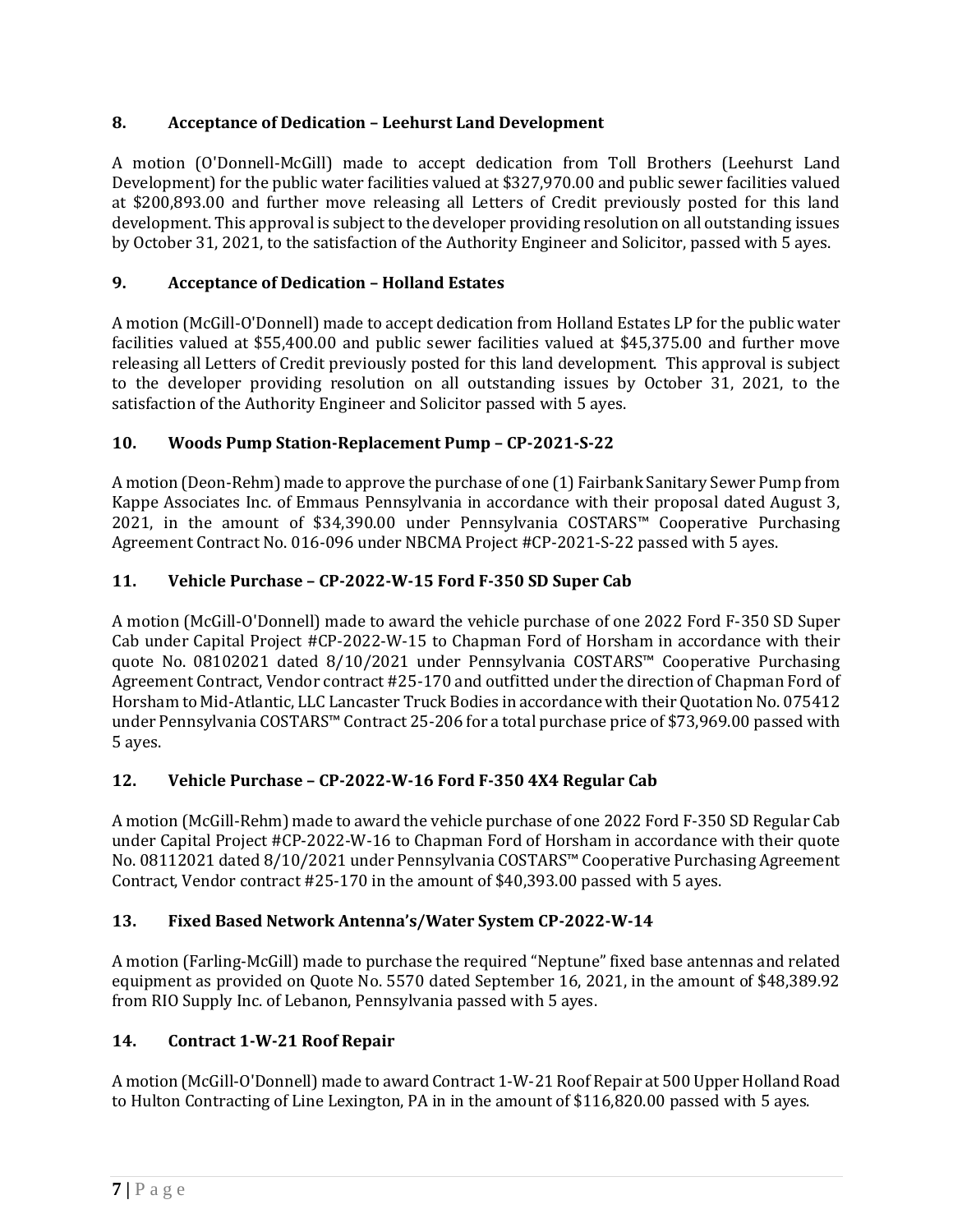# **8. Acceptance of Dedication – Leehurst Land Development**

A motion (O'Donnell-McGill) made to accept dedication from Toll Brothers (Leehurst Land Development) for the public water facilities valued at \$327,970.00 and public sewer facilities valued at \$200,893.00 and further move releasing all Letters of Credit previously posted for this land development. This approval is subject to the developer providing resolution on all outstanding issues by October 31, 2021, to the satisfaction of the Authority Engineer and Solicitor, passed with 5 ayes.

# **9. Acceptance of Dedication – Holland Estates**

A motion (McGill-O'Donnell) made to accept dedication from Holland Estates LP for the public water facilities valued at \$55,400.00 and public sewer facilities valued at \$45,375.00 and further move releasing all Letters of Credit previously posted for this land development. This approval is subject to the developer providing resolution on all outstanding issues by October 31, 2021, to the satisfaction of the Authority Engineer and Solicitor passed with 5 ayes.

# **10. Woods Pump Station-Replacement Pump – CP-2021-S-22**

A motion (Deon-Rehm) made to approve the purchase of one (1) Fairbank Sanitary Sewer Pump from Kappe Associates Inc. of Emmaus Pennsylvania in accordance with their proposal dated August 3, 2021, in the amount of \$34,390.00 under Pennsylvania COSTARS™ Cooperative Purchasing Agreement Contract No. 016-096 under NBCMA Project #CP-2021-S-22 passed with 5 ayes.

# **11. Vehicle Purchase – CP-2022-W-15 Ford F-350 SD Super Cab**

A motion (McGill-O'Donnell) made to award the vehicle purchase of one 2022 Ford F-350 SD Super Cab under Capital Project #CP-2022-W-15 to Chapman Ford of Horsham in accordance with their quote No. 08102021 dated 8/10/2021 under Pennsylvania COSTARS™ Cooperative Purchasing Agreement Contract, Vendor contract #25-170 and outfitted under the direction of Chapman Ford of Horsham to Mid-Atlantic, LLC Lancaster Truck Bodies in accordance with their Quotation No. 075412 under Pennsylvania COSTARS™ Contract 25-206 for a total purchase price of \$73,969.00 passed with 5 ayes.

## **12. Vehicle Purchase – CP-2022-W-16 Ford F-350 4X4 Regular Cab**

A motion (McGill-Rehm) made to award the vehicle purchase of one 2022 Ford F-350 SD Regular Cab under Capital Project #CP-2022-W-16 to Chapman Ford of Horsham in accordance with their quote No. 08112021 dated 8/10/2021 under Pennsylvania COSTARS™ Cooperative Purchasing Agreement Contract, Vendor contract #25-170 in the amount of \$40,393.00 passed with 5 ayes.

## **13. Fixed Based Network Antenna's/Water System CP-2022-W-14**

A motion (Farling-McGill) made to purchase the required "Neptune" fixed base antennas and related equipment as provided on Quote No. 5570 dated September 16, 2021, in the amount of \$48,389.92 from RIO Supply Inc. of Lebanon, Pennsylvania passed with 5 ayes.

# **14. Contract 1-W-21 Roof Repair**

A motion (McGill-O'Donnell) made to award Contract 1-W-21 Roof Repair at 500 Upper Holland Road to Hulton Contracting of Line Lexington, PA in in the amount of \$116,820.00 passed with 5 ayes.